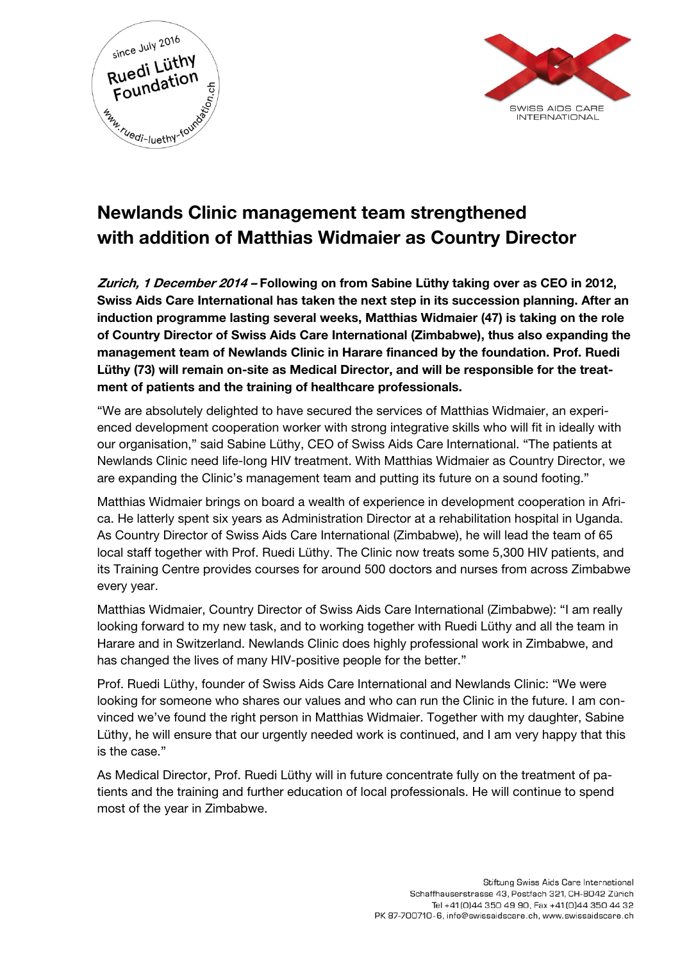



# Newlands Clinic management team strengthened with addition of Matthias Widmaier as Country Director

Zurich, 1 December 2014 – Following on from Sabine Lüthy taking over as CEO in 2012, Swiss Aids Care International has taken the next step in its succession planning. After an induction programme lasting several weeks, Matthias Widmaier (47) is taking on the role of Country Director of Swiss Aids Care International (Zimbabwe), thus also expanding the management team of Newlands Clinic in Harare financed by the foundation. Prof. Ruedi Lüthy (73) will remain on-site as Medical Director, and will be responsible for the treatment of patients and the training of healthcare professionals.

"We are absolutely delighted to have secured the services of Matthias Widmaier, an experienced development cooperation worker with strong integrative skills who will fit in ideally with our organisation," said Sabine Lüthy, CEO of Swiss Aids Care International. "The patients at Newlands Clinic need life-long HIV treatment. With Matthias Widmaier as Country Director, we are expanding the Clinic's management team and putting its future on a sound footing."

Matthias Widmaier brings on board a wealth of experience in development cooperation in Africa. He latterly spent six years as Administration Director at a rehabilitation hospital in Uganda. As Country Director of Swiss Aids Care International (Zimbabwe), he will lead the team of 65 local staff together with Prof. Ruedi Lüthy. The Clinic now treats some 5,300 HIV patients, and its Training Centre provides courses for around 500 doctors and nurses from across Zimbabwe every year.

Matthias Widmaier, Country Director of Swiss Aids Care International (Zimbabwe): "I am really looking forward to my new task, and to working together with Ruedi Lüthy and all the team in Harare and in Switzerland. Newlands Clinic does highly professional work in Zimbabwe, and has changed the lives of many HIV-positive people for the better."

Prof. Ruedi Lüthy, founder of Swiss Aids Care International and Newlands Clinic: "We were looking for someone who shares our values and who can run the Clinic in the future. I am convinced we've found the right person in Matthias Widmaier. Together with my daughter, Sabine Lüthy, he will ensure that our urgently needed work is continued, and I am very happy that this is the case."

As Medical Director, Prof. Ruedi Lüthy will in future concentrate fully on the treatment of patients and the training and further education of local professionals. He will continue to spend most of the year in Zimbabwe.